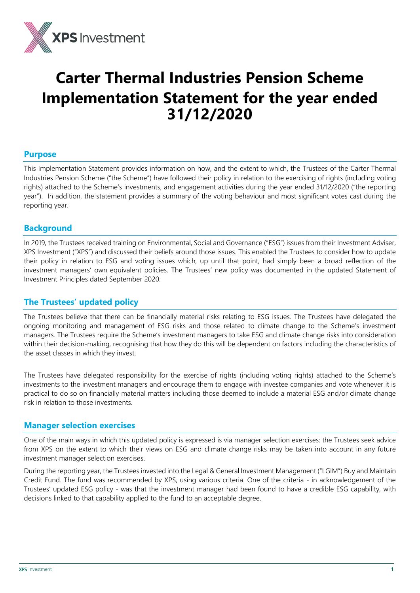

# **Carter Thermal Industries Pension Scheme Implementation Statement for the year ended 31/12/2020**

#### **Purpose**

This Implementation Statement provides information on how, and the extent to which, the Trustees of the Carter Thermal Industries Pension Scheme ("the Scheme") have followed their policy in relation to the exercising of rights (including voting rights) attached to the Scheme's investments, and engagement activities during the year ended 31/12/2020 ("the reporting year"). In addition, the statement provides a summary of the voting behaviour and most significant votes cast during the reporting year.

#### **Background**

In 2019, the Trustees received training on Environmental, Social and Governance ("ESG") issues from their Investment Adviser, XPS Investment ("XPS") and discussed their beliefs around those issues. This enabled the Trustees to consider how to update their policy in relation to ESG and voting issues which, up until that point, had simply been a broad reflection of the investment managers' own equivalent policies. The Trustees' new policy was documented in the updated Statement of Investment Principles dated September 2020.

# **The Trustees' updated policy**

The Trustees believe that there can be financially material risks relating to ESG issues. The Trustees have delegated the ongoing monitoring and management of ESG risks and those related to climate change to the Scheme's investment managers. The Trustees require the Scheme's investment managers to take ESG and climate change risks into consideration within their decision-making, recognising that how they do this will be dependent on factors including the characteristics of the asset classes in which they invest.

The Trustees have delegated responsibility for the exercise of rights (including voting rights) attached to the Scheme's investments to the investment managers and encourage them to engage with investee companies and vote whenever it is practical to do so on financially material matters including those deemed to include a material ESG and/or climate change risk in relation to those investments.

#### **Manager selection exercises**

One of the main ways in which this updated policy is expressed is via manager selection exercises: the Trustees seek advice from XPS on the extent to which their views on ESG and climate change risks may be taken into account in any future investment manager selection exercises.

During the reporting year, the Trustees invested into the Legal & General Investment Management ("LGIM") Buy and Maintain Credit Fund. The fund was recommended by XPS, using various criteria. One of the criteria - in acknowledgement of the Trustees' updated ESG policy - was that the investment manager had been found to have a credible ESG capability, with decisions linked to that capability applied to the fund to an acceptable degree.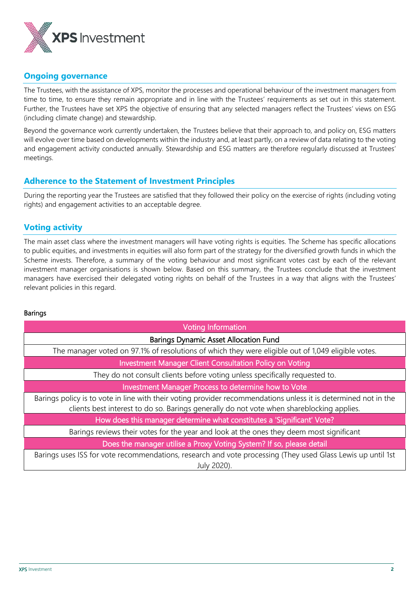

## **Ongoing governance**

The Trustees, with the assistance of XPS, monitor the processes and operational behaviour of the investment managers from time to time, to ensure they remain appropriate and in line with the Trustees' requirements as set out in this statement. Further, the Trustees have set XPS the objective of ensuring that any selected managers reflect the Trustees' views on ESG (including climate change) and stewardship.

Beyond the governance work currently undertaken, the Trustees believe that their approach to, and policy on, ESG matters will evolve over time based on developments within the industry and, at least partly, on a review of data relating to the voting and engagement activity conducted annually. Stewardship and ESG matters are therefore regularly discussed at Trustees' meetings.

## **Adherence to the Statement of Investment Principles**

During the reporting year the Trustees are satisfied that they followed their policy on the exercise of rights (including voting rights) and engagement activities to an acceptable degree.

# **Voting activity**

The main asset class where the investment managers will have voting rights is equities. The Scheme has specific allocations to public equities, and investments in equities will also form part of the strategy for the diversified growth funds in which the Scheme invests. Therefore, a summary of the voting behaviour and most significant votes cast by each of the relevant investment manager organisations is shown below. Based on this summary, the Trustees conclude that the investment managers have exercised their delegated voting rights on behalf of the Trustees in a way that aligns with the Trustees' relevant policies in this regard.

#### Barings

| <b>Voting Information</b>                                                                                                                                                                                    |
|--------------------------------------------------------------------------------------------------------------------------------------------------------------------------------------------------------------|
| <b>Barings Dynamic Asset Allocation Fund</b>                                                                                                                                                                 |
| The manager voted on 97.1% of resolutions of which they were eligible out of 1,049 eligible votes.                                                                                                           |
| <b>Investment Manager Client Consultation Policy on Voting</b>                                                                                                                                               |
| They do not consult clients before voting unless specifically requested to.                                                                                                                                  |
| <b>Investment Manager Process to determine how to Vote</b>                                                                                                                                                   |
| Barings policy is to vote in line with their voting provider recommendations unless it is determined not in the<br>clients best interest to do so. Barings generally do not vote when shareblocking applies. |
| How does this manager determine what constitutes a 'Significant' Vote?                                                                                                                                       |
| Barings reviews their votes for the year and look at the ones they deem most significant                                                                                                                     |
| Does the manager utilise a Proxy Voting System? If so, please detail                                                                                                                                         |
| Barings uses ISS for vote recommendations, research and vote processing (They used Glass Lewis up until 1st<br>July 2020).                                                                                   |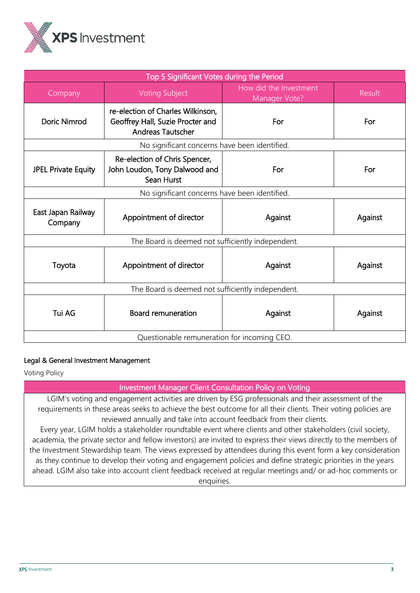

| Top 5 Significant Votes during the Period                                                                         |                                                                                                   |                                         |               |  |
|-------------------------------------------------------------------------------------------------------------------|---------------------------------------------------------------------------------------------------|-----------------------------------------|---------------|--|
| Company                                                                                                           | <b>Voting Subject</b>                                                                             | How did the Investment<br>Manager Vote? | <b>Result</b> |  |
| Doric Nimrod                                                                                                      | re-election of Charles Wilkinson,<br>Geoffrey Hall, Suzie Procter and<br><b>Andreas Tautscher</b> | For                                     | For           |  |
|                                                                                                                   | No significant concerns have been identified.                                                     |                                         |               |  |
| Re-election of Chris Spencer,<br>John Loudon, Tony Dalwood and<br><b>JPEL Private Equity</b><br>For<br>Sean Hurst |                                                                                                   |                                         | For           |  |
|                                                                                                                   | No significant concerns have been identified.                                                     |                                         |               |  |
| East Japan Railway<br>Company                                                                                     | Appointment of director                                                                           | Against                                 | Against       |  |
| The Board is deemed not sufficiently independent.                                                                 |                                                                                                   |                                         |               |  |
| Toyota                                                                                                            | Appointment of director                                                                           | Against                                 | Against       |  |
| The Board is deemed not sufficiently independent.                                                                 |                                                                                                   |                                         |               |  |
| Tui AG                                                                                                            | <b>Board remuneration</b>                                                                         | Against                                 | Against       |  |
| Questionable remuneration for incoming CEO.                                                                       |                                                                                                   |                                         |               |  |

#### Legal & General Investment Management

Voting Policy

Investment Manager Client Consultation Policy on Voting

LGIM's voting and engagement activities are driven by ESG professionals and their assessment of the requirements in these areas seeks to achieve the best outcome for all their clients. Their voting policies are reviewed annually and take into account feedback from their clients.

Every year, LGIM holds a stakeholder roundtable event where clients and other stakeholders (civil society, academia, the private sector and fellow investors) are invited to express their views directly to the members of the Investment Stewardship team. The views expressed by attendees during this event form a key consideration as they continue to develop their voting and engagement policies and define strategic priorities in the years ahead. LGIM also take into account client feedback received at regular meetings and/ or ad-hoc comments or enquiries.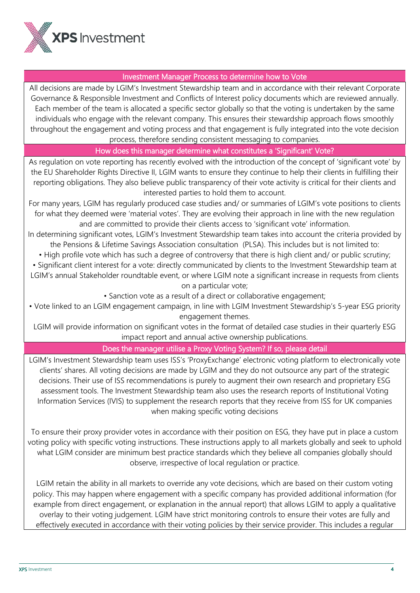

## Investment Manager Process to determine how to Vote

All decisions are made by LGIM's Investment Stewardship team and in accordance with their relevant Corporate Governance & Responsible Investment and Conflicts of Interest policy documents which are reviewed annually. Each member of the team is allocated a specific sector globally so that the voting is undertaken by the same individuals who engage with the relevant company. This ensures their stewardship approach flows smoothly throughout the engagement and voting process and that engagement is fully integrated into the vote decision process, therefore sending consistent messaging to companies.

#### How does this manager determine what constitutes a 'Significant' Vote?

As regulation on vote reporting has recently evolved with the introduction of the concept of 'significant vote' by the EU Shareholder Rights Directive II, LGIM wants to ensure they continue to help their clients in fulfilling their reporting obligations. They also believe public transparency of their vote activity is critical for their clients and interested parties to hold them to account.

For many years, LGIM has regularly produced case studies and/ or summaries of LGIM's vote positions to clients for what they deemed were 'material votes'. They are evolving their approach in line with the new regulation and are committed to provide their clients access to 'significant vote' information.

In determining significant votes, LGIM's Investment Stewardship team takes into account the criteria provided by the Pensions & Lifetime Savings Association consultation (PLSA). This includes but is not limited to:

• High profile vote which has such a degree of controversy that there is high client and/ or public scrutiny;

• Significant client interest for a vote: directly communicated by clients to the Investment Stewardship team at LGIM's annual Stakeholder roundtable event, or where LGIM note a significant increase in requests from clients on a particular vote;

• Sanction vote as a result of a direct or collaborative engagement;

• Vote linked to an LGIM engagement campaign, in line with LGIM Investment Stewardship's 5-year ESG priority engagement themes.

LGIM will provide information on significant votes in the format of detailed case studies in their quarterly ESG impact report and annual active ownership publications.

# Does the manager utilise a Proxy Voting System? If so, please detail

LGIM's Investment Stewardship team uses ISS's 'ProxyExchange' electronic voting platform to electronically vote clients' shares. All voting decisions are made by LGIM and they do not outsource any part of the strategic decisions. Their use of ISS recommendations is purely to augment their own research and proprietary ESG assessment tools. The Investment Stewardship team also uses the research reports of Institutional Voting Information Services (IVIS) to supplement the research reports that they receive from ISS for UK companies when making specific voting decisions

To ensure their proxy provider votes in accordance with their position on ESG, they have put in place a custom voting policy with specific voting instructions. These instructions apply to all markets globally and seek to uphold what LGIM consider are minimum best practice standards which they believe all companies globally should observe, irrespective of local regulation or practice.

LGIM retain the ability in all markets to override any vote decisions, which are based on their custom voting policy. This may happen where engagement with a specific company has provided additional information (for example from direct engagement, or explanation in the annual report) that allows LGIM to apply a qualitative overlay to their voting judgement. LGIM have strict monitoring controls to ensure their votes are fully and effectively executed in accordance with their voting policies by their service provider. This includes a regular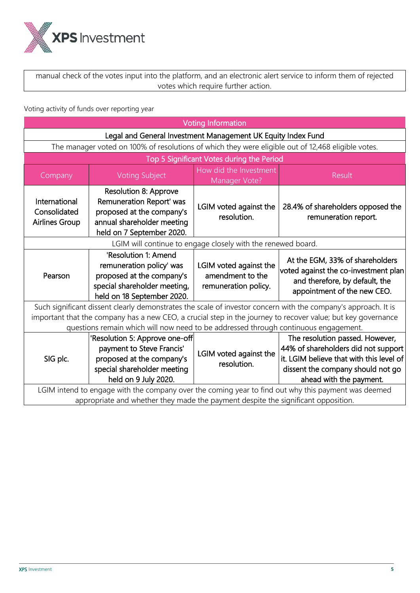

manual check of the votes input into the platform, and an electronic alert service to inform them of rejected votes which require further action.

Voting activity of funds over reporting year

|                                                                                                                                                                                          | <b>Voting Information</b>                                                                                                                        |                                                                    |                                                                                                                                                                                    |  |
|------------------------------------------------------------------------------------------------------------------------------------------------------------------------------------------|--------------------------------------------------------------------------------------------------------------------------------------------------|--------------------------------------------------------------------|------------------------------------------------------------------------------------------------------------------------------------------------------------------------------------|--|
|                                                                                                                                                                                          | Legal and General Investment Management UK Equity Index Fund                                                                                     |                                                                    |                                                                                                                                                                                    |  |
|                                                                                                                                                                                          | The manager voted on 100% of resolutions of which they were eligible out of 12,468 eligible votes.                                               |                                                                    |                                                                                                                                                                                    |  |
|                                                                                                                                                                                          |                                                                                                                                                  | Top 5 Significant Votes during the Period                          |                                                                                                                                                                                    |  |
| Company                                                                                                                                                                                  | <b>Voting Subject</b>                                                                                                                            | How did the Investment<br>Manager Vote?                            | <b>Result</b>                                                                                                                                                                      |  |
| International<br>Consolidated<br><b>Airlines Group</b>                                                                                                                                   | <b>Resolution 8: Approve</b><br>Remuneration Report' was<br>proposed at the company's<br>annual shareholder meeting<br>held on 7 September 2020. | LGIM voted against the<br>resolution.                              | 28.4% of shareholders opposed the<br>remuneration report.                                                                                                                          |  |
|                                                                                                                                                                                          |                                                                                                                                                  | LGIM will continue to engage closely with the renewed board.       |                                                                                                                                                                                    |  |
| Pearson                                                                                                                                                                                  | 'Resolution 1: Amend<br>remuneration policy' was<br>proposed at the company's<br>special shareholder meeting,<br>held on 18 September 2020.      | LGIM voted against the<br>amendment to the<br>remuneration policy. | At the EGM, 33% of shareholders<br>voted against the co-investment plan<br>and therefore, by default, the<br>appointment of the new CEO.                                           |  |
|                                                                                                                                                                                          |                                                                                                                                                  |                                                                    | Such significant dissent clearly demonstrates the scale of investor concern with the company's approach. It is                                                                     |  |
|                                                                                                                                                                                          | questions remain which will now need to be addressed through continuous engagement.                                                              |                                                                    | important that the company has a new CEO, a crucial step in the journey to recover value; but key governance                                                                       |  |
| SIG plc.                                                                                                                                                                                 | 'Resolution 5: Approve one-off<br>payment to Steve Francis'<br>proposed at the company's<br>special shareholder meeting<br>held on 9 July 2020.  | LGIM voted against the<br>resolution.                              | The resolution passed. However,<br>44% of shareholders did not support<br>it. LGIM believe that with this level of<br>dissent the company should not go<br>ahead with the payment. |  |
| LGIM intend to engage with the company over the coming year to find out why this payment was deemed<br>appropriate and whether they made the payment despite the significant opposition. |                                                                                                                                                  |                                                                    |                                                                                                                                                                                    |  |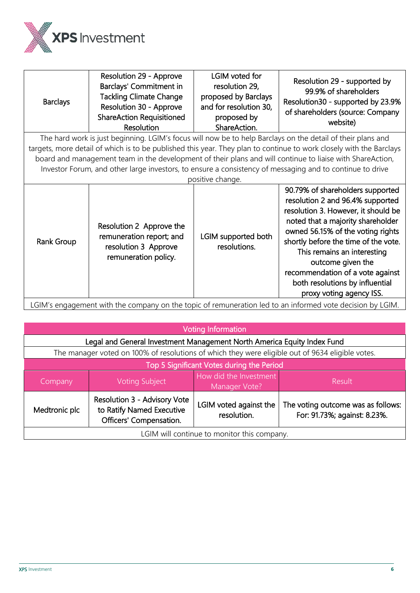

LGIM's engagement with the company on the topic of remuneration led to an informed vote decision by LGIM.

| <b>Voting Information</b>                   |                                                                                                  |                                       |                                                                    |  |
|---------------------------------------------|--------------------------------------------------------------------------------------------------|---------------------------------------|--------------------------------------------------------------------|--|
|                                             | Legal and General Investment Management North America Equity Index Fund                          |                                       |                                                                    |  |
|                                             | The manager voted on 100% of resolutions of which they were eligible out of 9634 eligible votes. |                                       |                                                                    |  |
| Top 5 Significant Votes during the Period   |                                                                                                  |                                       |                                                                    |  |
| Company                                     | How did the Investment<br><b>Voting Subject</b><br>Result<br>Manager Vote?                       |                                       |                                                                    |  |
| Medtronic plc                               | Resolution 3 - Advisory Vote<br>to Ratify Named Executive<br>Officers' Compensation.             | LGIM voted against the<br>resolution. | The voting outcome was as follows:<br>For: 91.73%; against: 8.23%. |  |
| LGIM will continue to monitor this company. |                                                                                                  |                                       |                                                                    |  |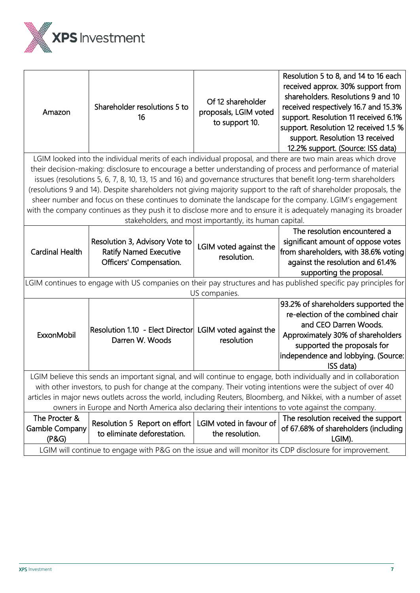

| Amazon                                                                                                                            | Shareholder resolutions 5 to<br>16                                                         | Of 12 shareholder<br>proposals, LGIM voted<br>to support 10. | Resolution 5 to 8, and 14 to 16 each<br>received approx. 30% support from<br>shareholders. Resolutions 9 and 10<br>received respectively 16.7 and 15.3%<br>support. Resolution 11 received 6.1%<br>support. Resolution 12 received 1.5 %<br>support. Resolution 13 received<br>12.2% support. (Source: ISS data) |  |
|-----------------------------------------------------------------------------------------------------------------------------------|--------------------------------------------------------------------------------------------|--------------------------------------------------------------|------------------------------------------------------------------------------------------------------------------------------------------------------------------------------------------------------------------------------------------------------------------------------------------------------------------|--|
|                                                                                                                                   |                                                                                            |                                                              | LGIM looked into the individual merits of each individual proposal, and there are two main areas which drove                                                                                                                                                                                                     |  |
|                                                                                                                                   |                                                                                            |                                                              | their decision-making: disclosure to encourage a better understanding of process and performance of material                                                                                                                                                                                                     |  |
|                                                                                                                                   |                                                                                            |                                                              | issues (resolutions 5, 6, 7, 8, 10, 13, 15 and 16) and governance structures that benefit long-term shareholders                                                                                                                                                                                                 |  |
|                                                                                                                                   |                                                                                            |                                                              | (resolutions 9 and 14). Despite shareholders not giving majority support to the raft of shareholder proposals, the                                                                                                                                                                                               |  |
|                                                                                                                                   |                                                                                            |                                                              | sheer number and focus on these continues to dominate the landscape for the company. LGIM's engagement                                                                                                                                                                                                           |  |
|                                                                                                                                   |                                                                                            |                                                              | with the company continues as they push it to disclose more and to ensure it is adequately managing its broader                                                                                                                                                                                                  |  |
|                                                                                                                                   |                                                                                            | stakeholders, and most importantly, its human capital.       |                                                                                                                                                                                                                                                                                                                  |  |
|                                                                                                                                   |                                                                                            |                                                              | The resolution encountered a                                                                                                                                                                                                                                                                                     |  |
| <b>Cardinal Health</b>                                                                                                            | Resolution 3, Advisory Vote to<br><b>Ratify Named Executive</b><br>Officers' Compensation. | LGIM voted against the<br>resolution.                        | significant amount of oppose votes<br>from shareholders, with 38.6% voting<br>against the resolution and 61.4%                                                                                                                                                                                                   |  |
|                                                                                                                                   |                                                                                            |                                                              | supporting the proposal.                                                                                                                                                                                                                                                                                         |  |
| LGIM continues to engage with US companies on their pay structures and has published specific pay principles for<br>US companies. |                                                                                            |                                                              |                                                                                                                                                                                                                                                                                                                  |  |
| ExxonMobil                                                                                                                        | Resolution 1.10 - Elect Director LGIM voted against the<br>Darren W. Woods                 | resolution                                                   | 93.2% of shareholders supported the<br>re-election of the combined chair<br>and CEO Darren Woods.<br>Approximately 30% of shareholders<br>supported the proposals for<br>independence and lobbying. (Source:<br>ISS data)                                                                                        |  |
|                                                                                                                                   |                                                                                            |                                                              | LGIM believe this sends an important signal, and will continue to engage, both individually and in collaboration                                                                                                                                                                                                 |  |
| with other investors, to push for change at the company. Their voting intentions were the subject of over 40                      |                                                                                            |                                                              |                                                                                                                                                                                                                                                                                                                  |  |
| articles in major news outlets across the world, including Reuters, Bloomberg, and Nikkei, with a number of asset                 |                                                                                            |                                                              |                                                                                                                                                                                                                                                                                                                  |  |
| owners in Europe and North America also declaring their intentions to vote against the company.                                   |                                                                                            |                                                              |                                                                                                                                                                                                                                                                                                                  |  |
| The Procter &<br><b>Gamble Company</b><br>(P&G)                                                                                   | Resolution 5 Report on effort   LGIM voted in favour of<br>to eliminate deforestation.     | the resolution.                                              | The resolution received the support<br>of 67.68% of shareholders (including<br>LGIM).                                                                                                                                                                                                                            |  |
|                                                                                                                                   |                                                                                            |                                                              | LGIM will continue to engage with P&G on the issue and will monitor its CDP disclosure for improvement.                                                                                                                                                                                                          |  |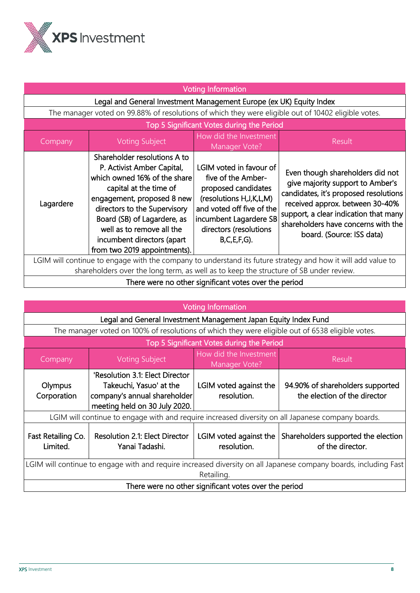

| <b>Voting Information</b>                                                                                                                                                                             |                                                                                                                                                                                                                                                                                                              |                                                                                                                                                                                                            |                                                                                                                                                                                                                                                               |
|-------------------------------------------------------------------------------------------------------------------------------------------------------------------------------------------------------|--------------------------------------------------------------------------------------------------------------------------------------------------------------------------------------------------------------------------------------------------------------------------------------------------------------|------------------------------------------------------------------------------------------------------------------------------------------------------------------------------------------------------------|---------------------------------------------------------------------------------------------------------------------------------------------------------------------------------------------------------------------------------------------------------------|
|                                                                                                                                                                                                       | Legal and General Investment Management Europe (ex UK) Equity Index                                                                                                                                                                                                                                          |                                                                                                                                                                                                            |                                                                                                                                                                                                                                                               |
|                                                                                                                                                                                                       | The manager voted on 99.88% of resolutions of which they were eligible out of 10402 eligible votes.                                                                                                                                                                                                          |                                                                                                                                                                                                            |                                                                                                                                                                                                                                                               |
|                                                                                                                                                                                                       |                                                                                                                                                                                                                                                                                                              | Top 5 Significant Votes during the Period                                                                                                                                                                  |                                                                                                                                                                                                                                                               |
| Company                                                                                                                                                                                               | <b>Voting Subject</b>                                                                                                                                                                                                                                                                                        | How did the Investment<br>Manager Vote?                                                                                                                                                                    | <b>Result</b>                                                                                                                                                                                                                                                 |
| Lagardere                                                                                                                                                                                             | Shareholder resolutions A to<br>P. Activist Amber Capital,<br>which owned 16% of the share<br>capital at the time of<br>engagement, proposed 8 new<br>directors to the Supervisory<br>Board (SB) of Lagardere, as<br>well as to remove all the<br>incumbent directors (apart<br>from two 2019 appointments). | LGIM voted in favour of<br>five of the Amber-<br>proposed candidates<br>(resolutions H, J, K, L, M)<br>and voted off five of the<br>incumbent Lagardere SB<br>directors (resolutions<br>$B, C, E, F, G$ ). | Even though shareholders did not<br>give majority support to Amber's<br>candidates, it's proposed resolutions<br>received approx. between 30-40%<br>support, a clear indication that many<br>shareholders have concerns with the<br>board. (Source: ISS data) |
| LGIM will continue to engage with the company to understand its future strategy and how it will add value to<br>shareholders over the long term, as well as to keep the structure of SB under review. |                                                                                                                                                                                                                                                                                                              |                                                                                                                                                                                                            |                                                                                                                                                                                                                                                               |
| There were no other significant votes over the period                                                                                                                                                 |                                                                                                                                                                                                                                                                                                              |                                                                                                                                                                                                            |                                                                                                                                                                                                                                                               |

## Voting Information

| voung information                                                                                                |                                                                                                                             |                                           |                                                                  |  |
|------------------------------------------------------------------------------------------------------------------|-----------------------------------------------------------------------------------------------------------------------------|-------------------------------------------|------------------------------------------------------------------|--|
|                                                                                                                  | Legal and General Investment Management Japan Equity Index Fund                                                             |                                           |                                                                  |  |
|                                                                                                                  | The manager voted on 100% of resolutions of which they were eligible out of 6538 eligible votes.                            |                                           |                                                                  |  |
|                                                                                                                  |                                                                                                                             | Top 5 Significant Votes during the Period |                                                                  |  |
| Company                                                                                                          | <b>Voting Subject</b>                                                                                                       | How did the Investment<br>Manager Vote?   | <b>Result</b>                                                    |  |
| Olympus<br>Corporation                                                                                           | 'Resolution 3.1: Elect Director<br>Takeuchi, Yasuo' at the<br>company's annual shareholder<br>meeting held on 30 July 2020. | LGIM voted against the<br>resolution.     | 94.90% of shareholders supported<br>the election of the director |  |
|                                                                                                                  | LGIM will continue to engage with and require increased diversity on all Japanese company boards.                           |                                           |                                                                  |  |
| Fast Retailing Co.<br>Limited.                                                                                   | <b>Resolution 2.1: Elect Director</b><br>Yanai Tadashi.                                                                     | LGIM voted against the<br>resolution.     | Shareholders supported the election<br>of the director.          |  |
| LGIM will continue to engage with and require increased diversity on all Japanese company boards, including Fast |                                                                                                                             |                                           |                                                                  |  |
| Retailing.                                                                                                       |                                                                                                                             |                                           |                                                                  |  |
| There were no other significant votes over the period                                                            |                                                                                                                             |                                           |                                                                  |  |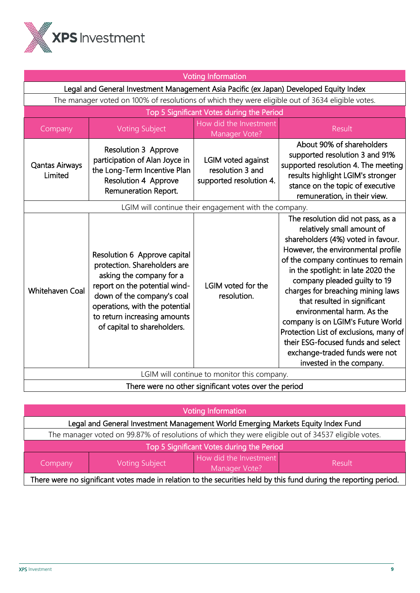

| <b>Voting Information</b>                             |                                                                                                                                                                                                                                                          |                                                                          |                                                                                                                                                                                                                                                                                                                                                                                                                                                                                                                                               |
|-------------------------------------------------------|----------------------------------------------------------------------------------------------------------------------------------------------------------------------------------------------------------------------------------------------------------|--------------------------------------------------------------------------|-----------------------------------------------------------------------------------------------------------------------------------------------------------------------------------------------------------------------------------------------------------------------------------------------------------------------------------------------------------------------------------------------------------------------------------------------------------------------------------------------------------------------------------------------|
|                                                       | Legal and General Investment Management Asia Pacific (ex Japan) Developed Equity Index                                                                                                                                                                   |                                                                          |                                                                                                                                                                                                                                                                                                                                                                                                                                                                                                                                               |
|                                                       | The manager voted on 100% of resolutions of which they were eligible out of 3634 eligible votes.                                                                                                                                                         |                                                                          |                                                                                                                                                                                                                                                                                                                                                                                                                                                                                                                                               |
|                                                       |                                                                                                                                                                                                                                                          | Top 5 Significant Votes during the Period                                |                                                                                                                                                                                                                                                                                                                                                                                                                                                                                                                                               |
| Company                                               | <b>Voting Subject</b>                                                                                                                                                                                                                                    | How did the Investment<br>Manager Vote?                                  | Result                                                                                                                                                                                                                                                                                                                                                                                                                                                                                                                                        |
| <b>Qantas Airways</b><br>Limited                      | <b>Resolution 3 Approve</b><br>participation of Alan Joyce in<br>the Long-Term Incentive Plan<br>Resolution 4 Approve<br>Remuneration Report.                                                                                                            | <b>LGIM voted against</b><br>resolution 3 and<br>supported resolution 4. | About 90% of shareholders<br>supported resolution 3 and 91%<br>supported resolution 4. The meeting<br>results highlight LGIM's stronger<br>stance on the topic of executive<br>remuneration, in their view.                                                                                                                                                                                                                                                                                                                                   |
|                                                       |                                                                                                                                                                                                                                                          | LGIM will continue their engagement with the company.                    |                                                                                                                                                                                                                                                                                                                                                                                                                                                                                                                                               |
| <b>Whitehaven Coal</b>                                | Resolution 6 Approve capital<br>protection. Shareholders are<br>asking the company for a<br>report on the potential wind-<br>down of the company's coal<br>operations, with the potential<br>to return increasing amounts<br>of capital to shareholders. | LGIM voted for the<br>resolution.                                        | The resolution did not pass, as a<br>relatively small amount of<br>shareholders (4%) voted in favour.<br>However, the environmental profile<br>of the company continues to remain<br>in the spotlight: in late 2020 the<br>company pleaded guilty to 19<br>charges for breaching mining laws<br>that resulted in significant<br>environmental harm. As the<br>company is on LGIM's Future World<br>Protection List of exclusions, many of<br>their ESG-focused funds and select<br>exchange-traded funds were not<br>invested in the company. |
| LGIM will continue to monitor this company.           |                                                                                                                                                                                                                                                          |                                                                          |                                                                                                                                                                                                                                                                                                                                                                                                                                                                                                                                               |
| There were no other significant votes over the period |                                                                                                                                                                                                                                                          |                                                                          |                                                                                                                                                                                                                                                                                                                                                                                                                                                                                                                                               |

| <b>Voting Information</b>                                                                                         |  |  |  |  |
|-------------------------------------------------------------------------------------------------------------------|--|--|--|--|
| Legal and General Investment Management World Emerging Markets Equity Index Fund                                  |  |  |  |  |
| The manager voted on 99.87% of resolutions of which they were eligible out of 34537 eligible votes.               |  |  |  |  |
| Top 5 Significant Votes during the Period                                                                         |  |  |  |  |
| How did the Investment<br><b>Voting Subject</b><br>Result<br>Company<br>Manager Vote?                             |  |  |  |  |
| There were no significant votes made in relation to the securities held by this fund during the reporting period. |  |  |  |  |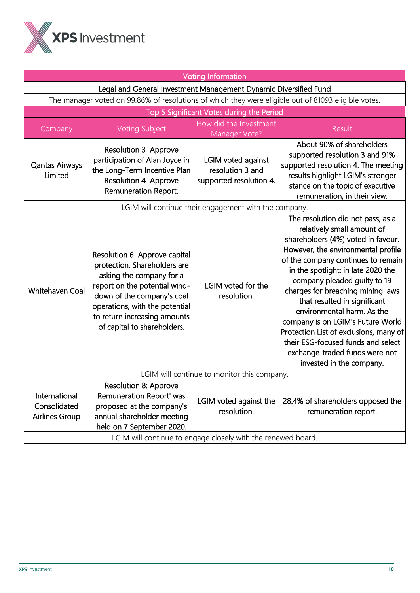

|                                                        |                                                                                                                                                                                                                                                          | <b>Voting Information</b>                                                                             |                                                                                                                                                                                                                                                                                                                                                                                                                                                                                                                                               |
|--------------------------------------------------------|----------------------------------------------------------------------------------------------------------------------------------------------------------------------------------------------------------------------------------------------------------|-------------------------------------------------------------------------------------------------------|-----------------------------------------------------------------------------------------------------------------------------------------------------------------------------------------------------------------------------------------------------------------------------------------------------------------------------------------------------------------------------------------------------------------------------------------------------------------------------------------------------------------------------------------------|
|                                                        | Legal and General Investment Management Dynamic Diversified Fund                                                                                                                                                                                         |                                                                                                       |                                                                                                                                                                                                                                                                                                                                                                                                                                                                                                                                               |
|                                                        | The manager voted on 99.86% of resolutions of which they were eligible out of 81093 eligible votes.                                                                                                                                                      |                                                                                                       |                                                                                                                                                                                                                                                                                                                                                                                                                                                                                                                                               |
|                                                        |                                                                                                                                                                                                                                                          | Top 5 Significant Votes during the Period                                                             |                                                                                                                                                                                                                                                                                                                                                                                                                                                                                                                                               |
| Company                                                | <b>Voting Subject</b>                                                                                                                                                                                                                                    | How did the Investment<br>Manager Vote?                                                               | Result                                                                                                                                                                                                                                                                                                                                                                                                                                                                                                                                        |
| <b>Qantas Airways</b><br>Limited                       | <b>Resolution 3 Approve</b><br>participation of Alan Joyce in<br>the Long-Term Incentive Plan<br><b>Resolution 4 Approve</b><br>Remuneration Report.                                                                                                     | LGIM voted against<br>resolution 3 and<br>supported resolution 4.                                     | About 90% of shareholders<br>supported resolution 3 and 91%<br>supported resolution 4. The meeting<br>results highlight LGIM's stronger<br>stance on the topic of executive<br>remuneration, in their view.                                                                                                                                                                                                                                                                                                                                   |
|                                                        |                                                                                                                                                                                                                                                          | LGIM will continue their engagement with the company.                                                 |                                                                                                                                                                                                                                                                                                                                                                                                                                                                                                                                               |
| Whitehaven Coal                                        | Resolution 6 Approve capital<br>protection. Shareholders are<br>asking the company for a<br>report on the potential wind-<br>down of the company's coal<br>operations, with the potential<br>to return increasing amounts<br>of capital to shareholders. | LGIM voted for the<br>resolution.                                                                     | The resolution did not pass, as a<br>relatively small amount of<br>shareholders (4%) voted in favour.<br>However, the environmental profile<br>of the company continues to remain<br>in the spotlight: in late 2020 the<br>company pleaded guilty to 19<br>charges for breaching mining laws<br>that resulted in significant<br>environmental harm. As the<br>company is on LGIM's Future World<br>Protection List of exclusions, many of<br>their ESG-focused funds and select<br>exchange-traded funds were not<br>invested in the company. |
| LGIM will continue to monitor this company.            |                                                                                                                                                                                                                                                          |                                                                                                       |                                                                                                                                                                                                                                                                                                                                                                                                                                                                                                                                               |
| International<br>Consolidated<br><b>Airlines Group</b> | Resolution 8: Approve<br>Remuneration Report' was<br>proposed at the company's<br>annual shareholder meeting<br>held on 7 September 2020.                                                                                                                | LGIM voted against the<br>resolution.<br>LGIM will continue to engage closely with the renewed board. | 28.4% of shareholders opposed the<br>remuneration report.                                                                                                                                                                                                                                                                                                                                                                                                                                                                                     |